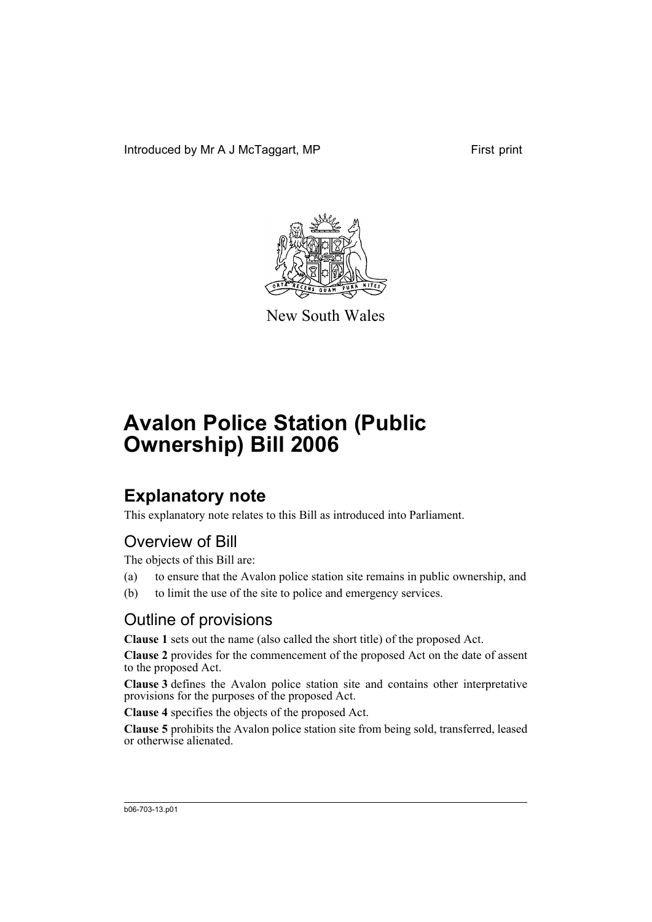Introduced by Mr A J McTaggart, MP



New South Wales

# **Avalon Police Station (Public Ownership) Bill 2006**

## **Explanatory note**

This explanatory note relates to this Bill as introduced into Parliament.

### Overview of Bill

The objects of this Bill are:

- (a) to ensure that the Avalon police station site remains in public ownership, and
- (b) to limit the use of the site to police and emergency services.

### Outline of provisions

**Clause 1** sets out the name (also called the short title) of the proposed Act.

**Clause 2** provides for the commencement of the proposed Act on the date of assent to the proposed Act.

**Clause 3** defines the Avalon police station site and contains other interpretative provisions for the purposes of the proposed Act.

**Clause 4** specifies the objects of the proposed Act.

**Clause 5** prohibits the Avalon police station site from being sold, transferred, leased or otherwise alienated.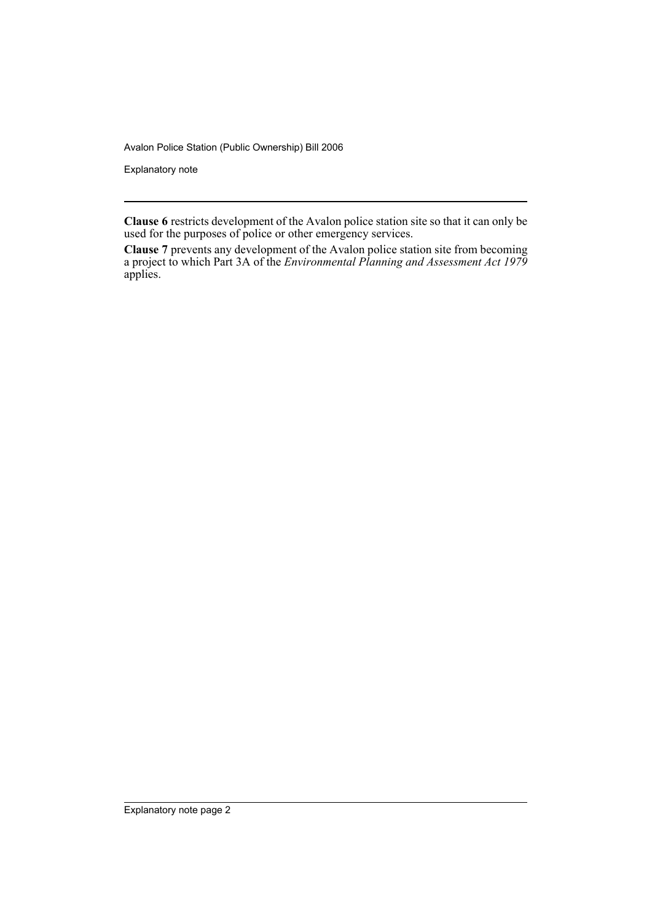Avalon Police Station (Public Ownership) Bill 2006

Explanatory note

**Clause 6** restricts development of the Avalon police station site so that it can only be used for the purposes of police or other emergency services.

**Clause 7** prevents any development of the Avalon police station site from becoming a project to which Part 3A of the *Environmental Planning and Assessment Act 1979* applies.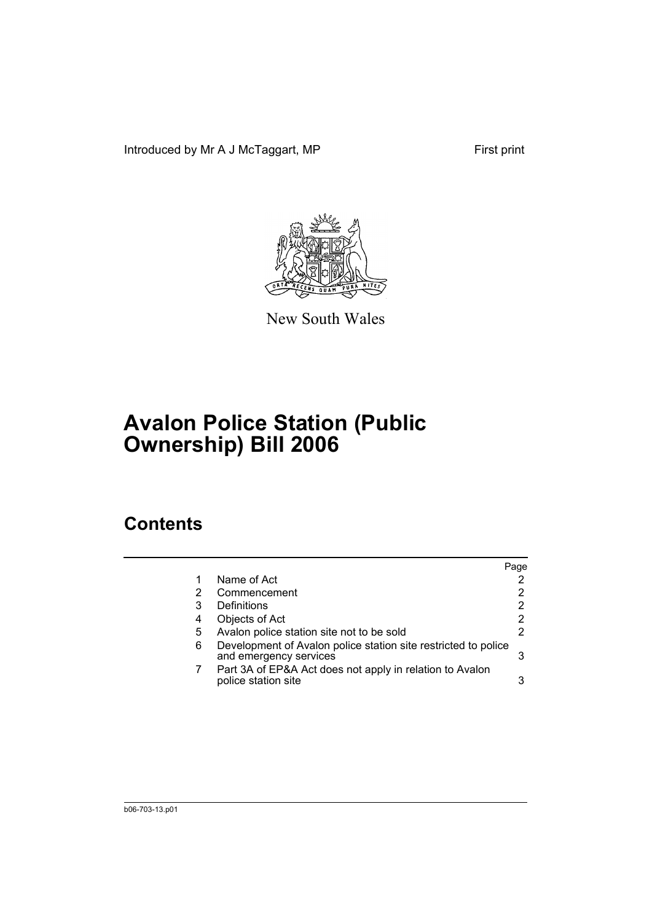Introduced by Mr A J McTaggart, MP First print



New South Wales

## **Avalon Police Station (Public Ownership) Bill 2006**

## **Contents**

|                                                                                          | Page |
|------------------------------------------------------------------------------------------|------|
| Name of Act                                                                              |      |
| Commencement                                                                             | 2    |
| Definitions                                                                              | 2    |
| Objects of Act                                                                           |      |
| Avalon police station site not to be sold                                                | 2    |
| Development of Avalon police station site restricted to police<br>and emergency services | 3    |
| Part 3A of EP&A Act does not apply in relation to Avalon<br>police station site          |      |
|                                                                                          |      |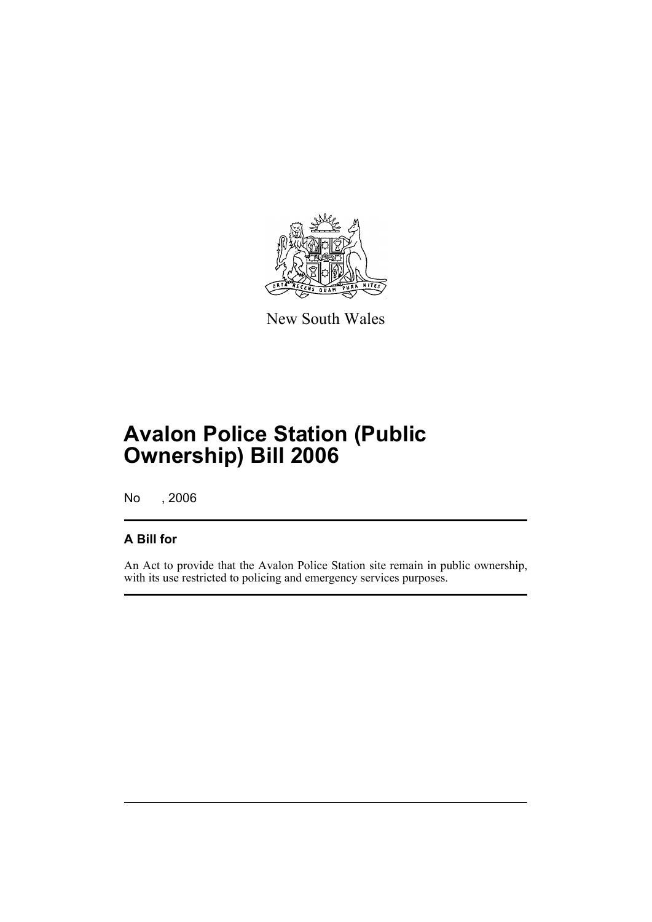

New South Wales

## **Avalon Police Station (Public Ownership) Bill 2006**

No , 2006

#### **A Bill for**

An Act to provide that the Avalon Police Station site remain in public ownership, with its use restricted to policing and emergency services purposes.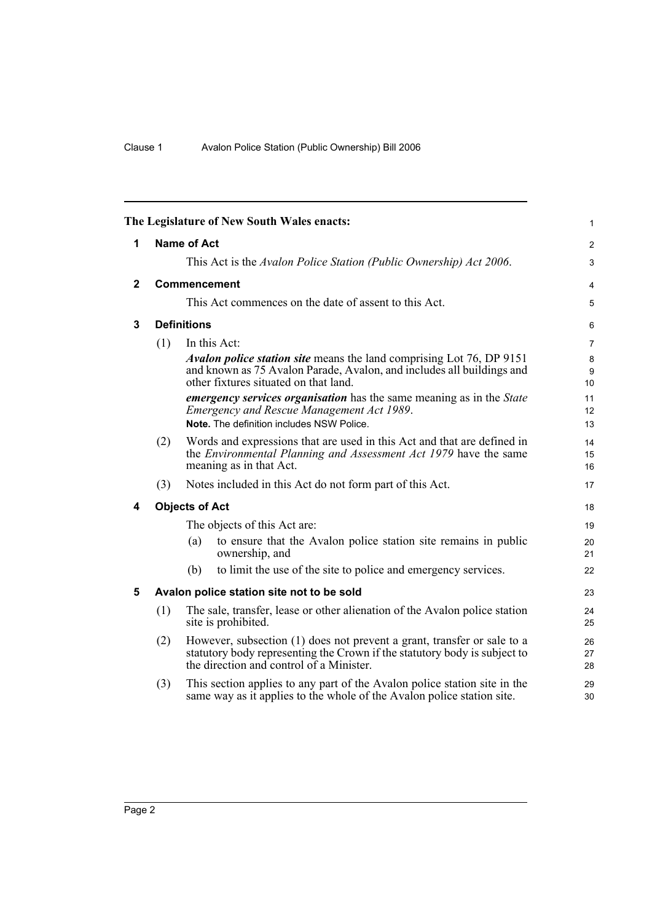<span id="page-5-4"></span><span id="page-5-3"></span><span id="page-5-2"></span><span id="page-5-1"></span><span id="page-5-0"></span>

| The Legislature of New South Wales enacts:<br>$\mathbf{1}$ |     |                                                                                                                                                                                                  |                |  |  |
|------------------------------------------------------------|-----|--------------------------------------------------------------------------------------------------------------------------------------------------------------------------------------------------|----------------|--|--|
| 1                                                          |     | <b>Name of Act</b>                                                                                                                                                                               | 2              |  |  |
|                                                            |     | This Act is the Avalon Police Station (Public Ownership) Act 2006.                                                                                                                               | 3              |  |  |
| $\mathbf{2}$                                               |     | Commencement                                                                                                                                                                                     | 4              |  |  |
|                                                            |     | This Act commences on the date of assent to this Act.                                                                                                                                            | 5              |  |  |
| 3                                                          |     | <b>Definitions</b>                                                                                                                                                                               | 6              |  |  |
|                                                            | (1) | In this Act:                                                                                                                                                                                     | 7              |  |  |
|                                                            |     | <i>Avalon police station site</i> means the land comprising Lot 76, DP 9151<br>and known as 75 Avalon Parade, Avalon, and includes all buildings and<br>other fixtures situated on that land.    | 8<br>9<br>10   |  |  |
|                                                            |     | <i>emergency services organisation</i> has the same meaning as in the <i>State</i><br>Emergency and Rescue Management Act 1989.<br>Note. The definition includes NSW Police.                     | 11<br>12<br>13 |  |  |
|                                                            | (2) | Words and expressions that are used in this Act and that are defined in<br>the <i>Environmental Planning and Assessment Act 1979</i> have the same<br>meaning as in that Act.                    | 14<br>15<br>16 |  |  |
|                                                            | (3) | Notes included in this Act do not form part of this Act.                                                                                                                                         | 17             |  |  |
| 4                                                          |     | <b>Objects of Act</b>                                                                                                                                                                            | 18             |  |  |
|                                                            |     | The objects of this Act are:                                                                                                                                                                     | 19             |  |  |
|                                                            |     | to ensure that the Avalon police station site remains in public<br>(a)<br>ownership, and                                                                                                         | 20<br>21       |  |  |
|                                                            |     | to limit the use of the site to police and emergency services.<br>(b)                                                                                                                            | 22             |  |  |
| 5                                                          |     | Avalon police station site not to be sold                                                                                                                                                        | 23             |  |  |
|                                                            | (1) | The sale, transfer, lease or other alienation of the Avalon police station<br>site is prohibited.                                                                                                | 24<br>25       |  |  |
|                                                            | (2) | However, subsection (1) does not prevent a grant, transfer or sale to a<br>statutory body representing the Crown if the statutory body is subject to<br>the direction and control of a Minister. | 26<br>27<br>28 |  |  |
|                                                            | (3) | This section applies to any part of the Avalon police station site in the<br>same way as it applies to the whole of the Avalon police station site.                                              | 29<br>30       |  |  |